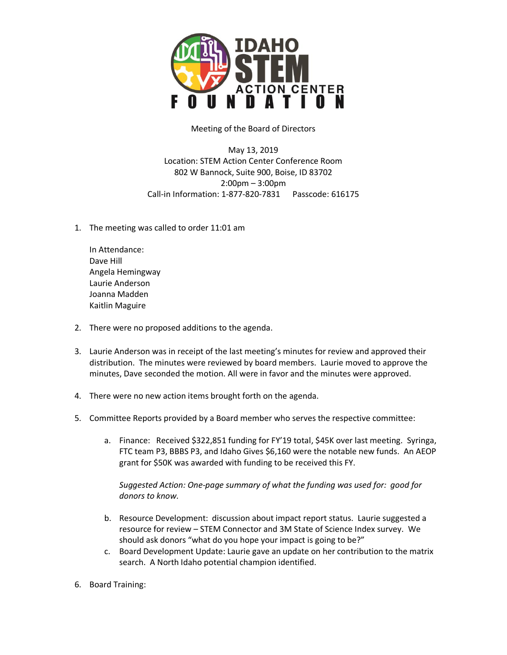

Meeting of the Board of Directors

May 13, 2019 Location: STEM Action Center Conference Room 802 W Bannock, Suite 900, Boise, ID 83702 2:00pm – 3:00pm Call-in Information: 1-877-820-7831 Passcode: 616175

1. The meeting was called to order 11:01 am

In Attendance: Dave Hill Angela Hemingway Laurie Anderson Joanna Madden Kaitlin Maguire

- 2. There were no proposed additions to the agenda.
- 3. Laurie Anderson was in receipt of the last meeting's minutes for review and approved their distribution. The minutes were reviewed by board members. Laurie moved to approve the minutes, Dave seconded the motion. All were in favor and the minutes were approved.
- 4. There were no new action items brought forth on the agenda.
- 5. Committee Reports provided by a Board member who serves the respective committee:
	- a. Finance: Received \$322,851 funding for FY'19 total, \$45K over last meeting. Syringa, FTC team P3, BBBS P3, and Idaho Gives \$6,160 were the notable new funds. An AEOP grant for \$50K was awarded with funding to be received this FY.

*Suggested Action: One-page summary of what the funding was used for: good for donors to know.* 

- b. Resource Development: discussion about impact report status. Laurie suggested a resource for review – STEM Connector and 3M State of Science Index survey. We should ask donors "what do you hope your impact is going to be?"
- c. Board Development Update: Laurie gave an update on her contribution to the matrix search. A North Idaho potential champion identified.
- 6. Board Training: